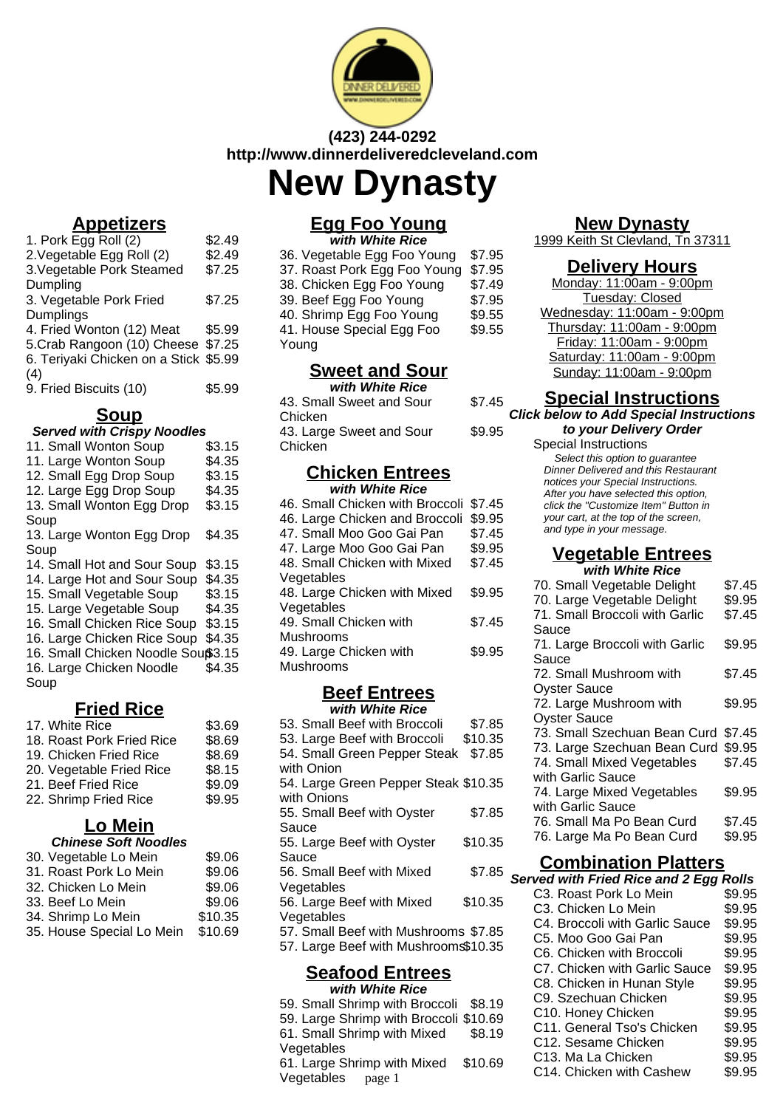

# **(423) 244-0292 http://www.dinnerdeliveredcleveland.com New Dynasty**

# **Appetizers**

| 1. Pork Egg Roll (2)                  | \$2.49 |
|---------------------------------------|--------|
| 2. Vegetable Egg Roll (2)             | \$2.49 |
| 3. Vegetable Pork Steamed             | \$7.25 |
| Dumpling                              |        |
| 3. Vegetable Pork Fried               | \$7.25 |
| Dumplings                             |        |
| 4. Fried Wonton (12) Meat             | \$5.99 |
| 5.Crab Rangoon (10) Cheese \$7.25     |        |
| 6. Teriyaki Chicken on a Stick \$5.99 |        |
| (4)                                   |        |
| 9. Fried Biscuits (10)                | \$5.99 |
|                                       |        |

#### **Soup**

#### **Served with Crispy Noodles**

| serva mar onopy nooalco           |        |
|-----------------------------------|--------|
| 11. Small Wonton Soup             | \$3.15 |
| 11. Large Wonton Soup             | \$4.35 |
| 12. Small Egg Drop Soup           | \$3.15 |
| 12. Large Egg Drop Soup           | \$4.35 |
| 13. Small Wonton Egg Drop         | \$3.15 |
| Soup                              |        |
| 13. Large Wonton Egg Drop         | \$4.35 |
| Soup                              |        |
| 14. Small Hot and Sour Soup       | \$3.15 |
| 14. Large Hot and Sour Soup       | \$4.35 |
| 15. Small Vegetable Soup          | \$3.15 |
| 15. Large Vegetable Soup          | \$4.35 |
| 16. Small Chicken Rice Soup       | \$3.15 |
| 16. Large Chicken Rice Soup       | \$4.35 |
| 16. Small Chicken Noodle Souß3.15 |        |
| 16. Large Chicken Noodle          | \$4.35 |
| Soup                              |        |
|                                   |        |

## **Fried Rice**

| 17. White Rice            | \$3.69 |
|---------------------------|--------|
| 18. Roast Pork Fried Rice | \$8.69 |
| 19. Chicken Fried Rice    | \$8.69 |
| 20. Vegetable Fried Rice  | \$8.15 |
| 21. Beef Fried Rice       | \$9.09 |
| 22. Shrimp Fried Rice     | \$9.95 |

### **Lo Mein**

| <b>Chinese Soft Noodles</b> |         |
|-----------------------------|---------|
| 30. Vegetable Lo Mein       | \$9.06  |
| 31. Roast Pork Lo Mein      | \$9.06  |
| 32. Chicken Lo Mein         | \$9.06  |
| 33. Beef Lo Mein            | \$9.06  |
| 34. Shrimp Lo Mein          | \$10.35 |
| 35. House Special Lo Mein   | \$10.69 |

#### **Egg Foo Young with White Rice**

| 36. Vegetable Egg Foo Young  | \$7.95 |
|------------------------------|--------|
| 37. Roast Pork Egg Foo Young | \$7.95 |
| 38. Chicken Egg Foo Young    | \$7.49 |
| 39. Beef Egg Foo Young       | \$7.95 |
| 40. Shrimp Egg Foo Young     | \$9.55 |
| 41. House Special Egg Foo    | \$9.55 |
| Young                        |        |
|                              |        |

### **Sweet and Sour**

| with White Rice                                |        |
|------------------------------------------------|--------|
| 43. Small Sweet and Sour                       | \$7.45 |
| Chicken<br>43. Large Sweet and Sour<br>Chicken | \$9.95 |

#### **Chicken Entrees with White Rice**

| 46. Small Chicken with Broccoli | \$7.45 |
|---------------------------------|--------|
| 46. Large Chicken and Broccoli  | \$9.95 |
| 47. Small Moo Goo Gai Pan       | \$7.45 |
| 47. Large Moo Goo Gai Pan       | \$9.95 |
| 48. Small Chicken with Mixed    | \$7.45 |
| Vegetables                      |        |
| 48. Large Chicken with Mixed    | \$9.95 |
| Vegetables                      |        |
| 49. Small Chicken with          | \$7.45 |
| Mushrooms                       |        |
| 49. Large Chicken with          | \$9.95 |
| Mushrooms                       |        |
|                                 |        |

#### **Beef Entrees with White Rice**

| 53. Small Beef with Broccoli         | \$7.85  |
|--------------------------------------|---------|
| 53. Large Beef with Broccoli         | \$10.35 |
| 54. Small Green Pepper Steak         | \$7.85  |
| with Onion                           |         |
| 54. Large Green Pepper Steak \$10.35 |         |
| with Onions                          |         |
| 55. Small Beef with Oyster           | \$7.85  |
| Sauce                                |         |
| 55. Large Beef with Oyster           | \$10.35 |
| Sauce                                |         |
| 56. Small Beef with Mixed            | \$7.85  |
| Vegetables                           |         |
| 56. Large Beef with Mixed            | \$10.35 |
| Vegetables                           |         |
| 57. Small Beef with Mushrooms \$7.85 |         |
| 57. Large Beef with Mushrooms\$10.35 |         |
|                                      |         |
| Banfaad Entraac                      |         |

#### **Seafood Entrees with White Rice**

59. Small Shrimp with Broccoli \$8.19 59. Large Shrimp with Broccoli \$10.69 61. Small Shrimp with Mixed Vegetables \$8.19 61. Large Shrimp with Mixed Vegetables \$10.69  $\frac{m n}{\text{page 1}}$  C14. Chicken with Cashew

### **New Dynasty**

1999 Keith St Clevland, Tn 37311

#### **Delivery Hours**

| Monday: 11:00am - 9:00pm    |
|-----------------------------|
| Tuesday: Closed             |
| Wednesday: 11:00am - 9:00pm |
| Thursday: 11:00am - 9:00pm  |
| Friday: 11:00am - 9:00pm    |
| Saturday: 11:00am - 9:00pm  |
| Sunday: 11:00am - 9:00pm    |

### **Special Instructions**

#### **Click below to Add Special Instructions**

**to your Delivery Order** Special Instructions Select this option to quarantee Dinner Delivered and this Restaurant notices your Special Instructions. After you have selected this option, click the "Customize Item" Button in your cart, at the top of the screen, and type in your message.

#### **Vegetable Entrees with White Rice**

| WILLI WIIILC NILC              |        |  |
|--------------------------------|--------|--|
| 70. Small Vegetable Delight    | \$7.45 |  |
| 70. Large Vegetable Delight    | \$9.95 |  |
| 71. Small Broccoli with Garlic | \$7.45 |  |
| Sauce                          |        |  |
| 71. Large Broccoli with Garlic | \$9.95 |  |
| Sauce                          |        |  |
| 72. Small Mushroom with        | \$7.45 |  |
| <b>Oyster Sauce</b>            |        |  |
| 72. Large Mushroom with        | \$9.95 |  |
| <b>Oyster Sauce</b>            |        |  |
| 73. Small Szechuan Bean Curd   | \$7.45 |  |
| 73. Large Szechuan Bean Curd   | \$9.95 |  |
| 74. Small Mixed Vegetables     | \$7.45 |  |
| with Garlic Sauce              |        |  |
| 74. Large Mixed Vegetables     | \$9.95 |  |
| with Garlic Sauce              |        |  |
| 76. Small Ma Po Bean Curd      | \$7.45 |  |
| 76. Large Ma Po Bean Curd      | \$9.95 |  |
|                                |        |  |

## **Combination Platters**

#### **Served with Fried Rice and 2 Egg Rolls**

| C3. Roast Pork Lo Mein         | \$9.95 |
|--------------------------------|--------|
| C3. Chicken Lo Mein            | \$9.95 |
| C4. Broccoli with Garlic Sauce | \$9.95 |
| C5. Moo Goo Gai Pan            | \$9.95 |
| C6. Chicken with Broccoli      | \$9.95 |
| C7. Chicken with Garlic Sauce  | \$9.95 |
| C8. Chicken in Hunan Style     | \$9.95 |
| C9. Szechuan Chicken           | \$9.95 |
| C10. Honey Chicken             | \$9.95 |
| C11. General Tso's Chicken     | \$9.95 |
| C12. Sesame Chicken            | \$9.95 |
| C13. Ma La Chicken             | \$9.95 |
| C14 Chicken with Cashew        | ፍባ ዐዳ  |